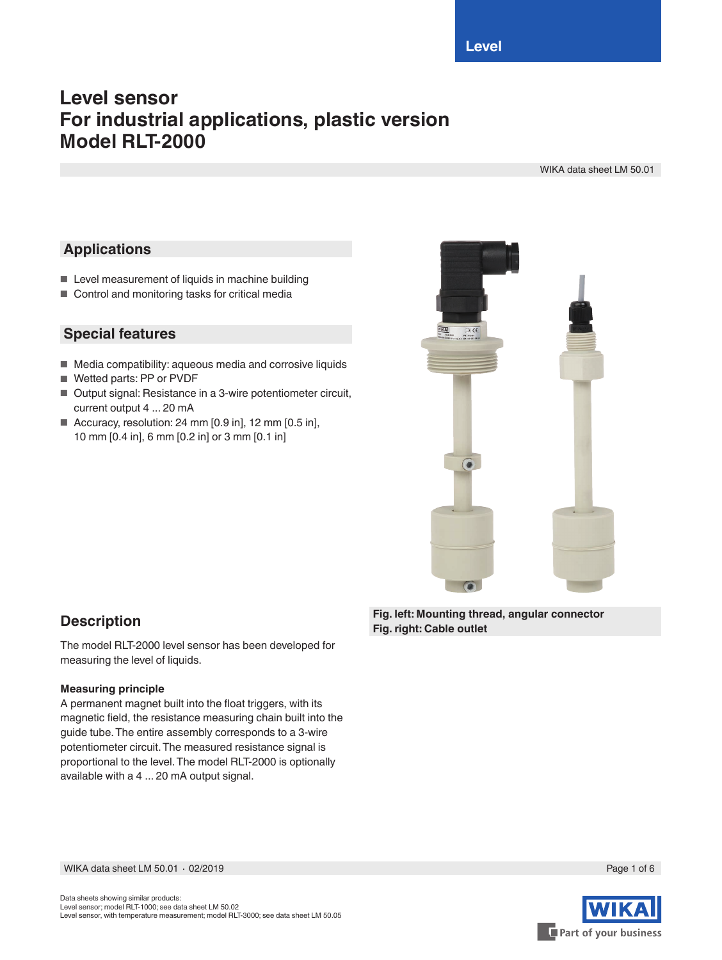# **Level sensor For industrial applications, plastic version Model RLT-2000**

WIKA data sheet LM 50.01

# **Applications**

- Level measurement of liquids in machine building
- Control and monitoring tasks for critical media

## **Special features**

- Media compatibility: aqueous media and corrosive liquids
- Wetted parts: PP or PVDF
- Output signal: Resistance in a 3-wire potentiometer circuit, current output 4 ... 20 mA
- Accuracy, resolution: 24 mm  $[0.9 \text{ in}]$ , 12 mm  $[0.5 \text{ in}]$ , 10 mm [0.4 in], 6 mm [0.2 in] or 3 mm [0.1 in]



## **Description**

The model RLT-2000 level sensor has been developed for measuring the level of liquids.

## **Measuring principle**

A permanent magnet built into the float triggers, with its magnetic field, the resistance measuring chain built into the guide tube. The entire assembly corresponds to a 3-wire potentiometer circuit. The measured resistance signal is proportional to the level. The model RLT-2000 is optionally available with a 4 ... 20 mA output signal.

**Fig. left: Mounting thread, angular connector Fig. right: Cable outlet**

WIKA data sheet LM 50.01 ⋅ 02/2019 Page 1 of 6



Data sheets showing similar products: Level sensor; model RLT-1000; see data sheet LM 50.02 Level sensor, with temperature measurement; model RLT-3000; see data sheet LM 50.05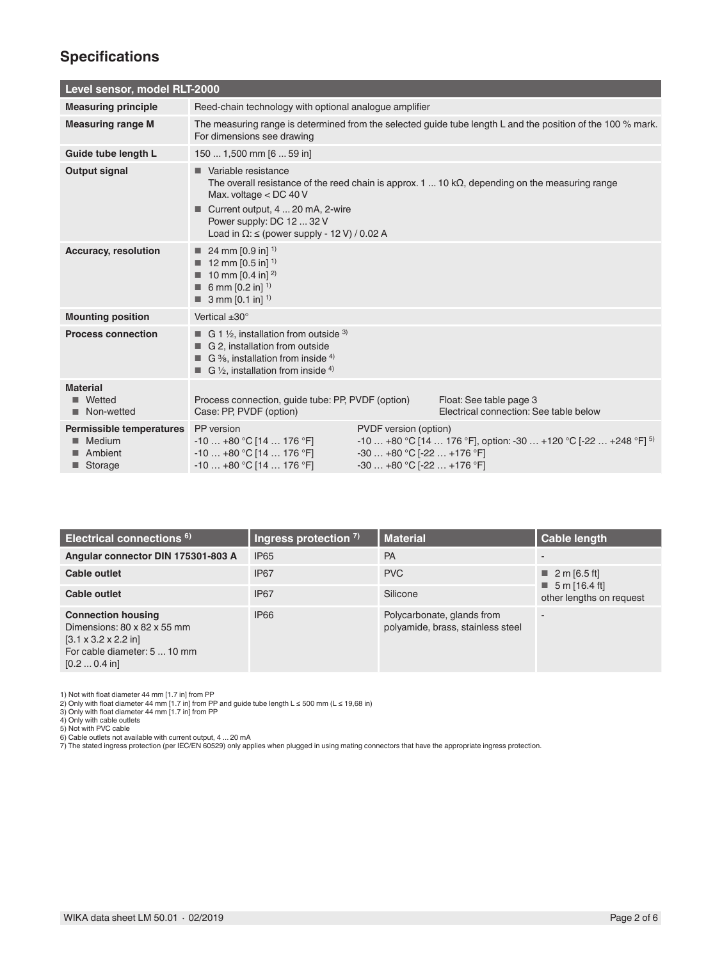# **Specifications**

| Level sensor, model RLT-2000                                  |                                                                                                                                                                                                        |                                                                                    |                                                                                                                |
|---------------------------------------------------------------|--------------------------------------------------------------------------------------------------------------------------------------------------------------------------------------------------------|------------------------------------------------------------------------------------|----------------------------------------------------------------------------------------------------------------|
| <b>Measuring principle</b>                                    | Reed-chain technology with optional analogue amplifier                                                                                                                                                 |                                                                                    |                                                                                                                |
| <b>Measuring range M</b>                                      | The measuring range is determined from the selected guide tube length L and the position of the 100 % mark.<br>For dimensions see drawing                                                              |                                                                                    |                                                                                                                |
| Guide tube length L                                           | 150  1,500 mm [6  59 in]                                                                                                                                                                               |                                                                                    |                                                                                                                |
| Output signal                                                 | Variable resistance<br>Max. voltage $<$ DC 40 V<br>Current output, 4  20 mA, 2-wire<br>Power supply: DC 12  32 V<br>Load in $\Omega$ : $\leq$ (power supply - 12 V) / 0.02 A                           |                                                                                    | The overall resistance of the reed chain is approx. 1 $\dots$ 10 k $\Omega$ , depending on the measuring range |
| <b>Accuracy, resolution</b>                                   | 24 mm $[0.9 \text{ in}]$ <sup>1)</sup><br><b>12 mm [0.5 in]</b> <sup>1)</sup><br>10 mm $[0.4 \text{ in}]^{2}$<br>6 mm $[0.2 \text{ in}]$ <sup>1)</sup><br>$\blacksquare$ 3 mm [0.1 in] <sup>1)</sup>   |                                                                                    |                                                                                                                |
| <b>Mounting position</b>                                      | Vertical $\pm 30^\circ$                                                                                                                                                                                |                                                                                    |                                                                                                                |
| <b>Process connection</b>                                     | <b>G</b> 1 $\frac{1}{2}$ , installation from outside <sup>3)</sup><br>G 2. installation from outside<br>G $\frac{3}{6}$ , installation from inside 4)<br>G $\frac{1}{2}$ , installation from inside 4) |                                                                                    |                                                                                                                |
| <b>Material</b><br>Wetted<br>Non-wetted<br>▁                  | Process connection, guide tube: PP, PVDF (option)<br>Case: PP, PVDF (option)                                                                                                                           |                                                                                    | Float: See table page 3<br>Electrical connection: See table below                                              |
| Permissible temperatures<br>Medium<br>Ambient<br>Storage<br>ш | PP version<br>$-10+80$ °C [14  176 °F]<br>$-10+80$ °C [14  176 °F]<br>$-10+80$ °C [14  176 °F]                                                                                                         | PVDF version (option)<br>$-30+80$ °C [ $-22+176$ °F]<br>$-30+80$ °C [-22  +176 °F] | $-10+80$ °C [14  176 °F], option: -30  +120 °C [-22  +248 °F] <sup>5)</sup>                                    |

| Electrical connections <sup>6)</sup>                                                                                                                         | Ingress protection $7$ ) | <b>Material</b>                                                 | <b>Cable length</b>                                      |
|--------------------------------------------------------------------------------------------------------------------------------------------------------------|--------------------------|-----------------------------------------------------------------|----------------------------------------------------------|
| Angular connector DIN 175301-803 A                                                                                                                           | <b>IP65</b>              | PA                                                              | $\overline{\phantom{0}}$                                 |
| Cable outlet                                                                                                                                                 | <b>IP67</b>              | <b>PVC</b>                                                      | ■ 2 m [6.5 ft]                                           |
| Cable outlet                                                                                                                                                 | IP <sub>67</sub>         | Silicone                                                        | $\blacksquare$ 5 m [16.4 ft]<br>other lengths on request |
| <b>Connection housing</b><br>Dimensions: 80 x 82 x 55 mm<br>$[3.1 \times 3.2 \times 2.2]$ in<br>For cable diameter: 5  10 mm<br>$[0.2 \dots 0.4 \text{ in}]$ | <b>IP66</b>              | Polycarbonate, glands from<br>polyamide, brass, stainless steel | $\overline{\phantom{0}}$                                 |

1) Not with float diameter 44 mm [1.7 in] from PP<br>2) Only with float diameter 44 mm [1.7 in] from PP and guide tube length L ≤ 500 mm (L ≤ 19,68 in)<br>3) Only with float diameter 44 mm [1.7 in] from PP<br>4) Only with able out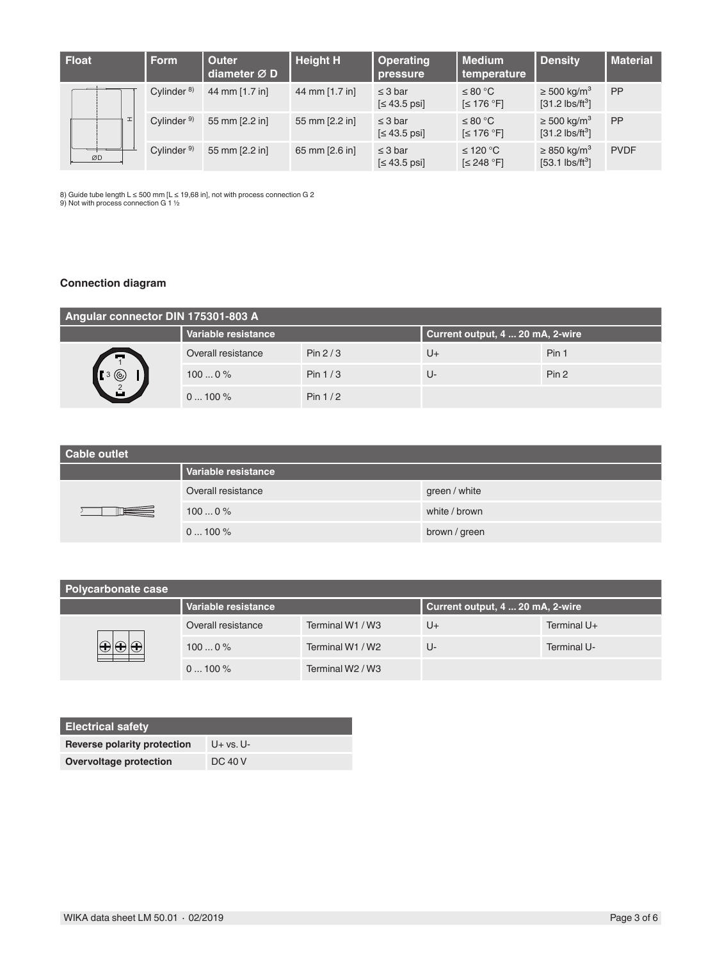| <b>Float</b> | <b>Form</b>            | <b>Outer</b><br>diameter Ø D | <b>Height H</b> | <b>Operating</b><br>pressure    | l Medium<br>temperature          | <b>Density</b>                                                | <b>Material</b> |
|--------------|------------------------|------------------------------|-----------------|---------------------------------|----------------------------------|---------------------------------------------------------------|-----------------|
|              | Cylinder $8$ )         | 44 mm [1.7 in]               | 44 mm [1.7 in]  | $\leq$ 3 bar<br>$\leq 43.5$ psi | ≤ 80 °C<br>$\leq 176$ °F]        | $\geq 500 \text{ kg/m}^3$<br>$[31.2$ lbs/ft <sup>3</sup> ]    | <b>PP</b>       |
|              | Cylinder <sup>9)</sup> | 55 mm [2.2 in]               | 55 mm [2.2 in]  | $\leq$ 3 bar<br>$\leq 43.5$ psi | ≤ 80 °C<br>$\leq 176$ °F]        | $\geq 500 \text{ kg/m}^3$<br>$[31.2$ lbs/ft <sup>3</sup> ]    | <b>PP</b>       |
| ØD           | Cylinder <sup>9)</sup> | 55 mm [2.2 in]               | 65 mm [2.6 in]  | $\leq$ 3 bar<br>$\leq 43.5$ psi | ≤ 120 °C<br>$\left[\leq 248$ °F] | $\geq$ 850 kg/m <sup>3</sup><br>$[53.1$ lbs/ft <sup>3</sup> ] | <b>PVDF</b>     |

8) Guide tube length L ≤ 500 mm [L ≤ 19,68 in], not with process connection G 2<br>9) Not with process connection G 1 ½

## **Connection diagram**

| Angular connector DIN 175301-803 A                                            |                     |           |                                  |       |
|-------------------------------------------------------------------------------|---------------------|-----------|----------------------------------|-------|
|                                                                               | Variable resistance |           | Current output, 4  20 mA, 2-wire |       |
| F.<br>$\begin{array}{c} \bullet \\ \bullet \\ \bullet \\ \bullet \end{array}$ | Overall resistance  | Pin $2/3$ | $U +$                            | Pin 1 |
|                                                                               | 1000%               | Pin $1/3$ | U-                               | Pin 2 |
|                                                                               | $0100\%$            | Pin $1/2$ |                                  |       |

| Cable outlet |                     |               |  |  |
|--------------|---------------------|---------------|--|--|
|              | Variable resistance |               |  |  |
|              | Overall resistance  | green / white |  |  |
|              | 1000%               | white / brown |  |  |
|              | $0100\%$            | brown / green |  |  |

| Polycarbonate case |                     |                  |                                  |             |  |
|--------------------|---------------------|------------------|----------------------------------|-------------|--|
|                    | Variable resistance |                  | Current output, 4  20 mA, 2-wire |             |  |
|                    | Overall resistance  | Terminal W1 / W3 | U+                               | Terminal U+ |  |
|                    | 1000%               | Terminal W1 / W2 | U-                               | Terminal U- |  |
|                    | $0100\%$            | Terminal W2 / W3 |                                  |             |  |

| <b>Electrical safety</b>    |                |
|-----------------------------|----------------|
| Reverse polarity protection | $U+vs. U-$     |
| Overvoltage protection      | <b>DC 40 V</b> |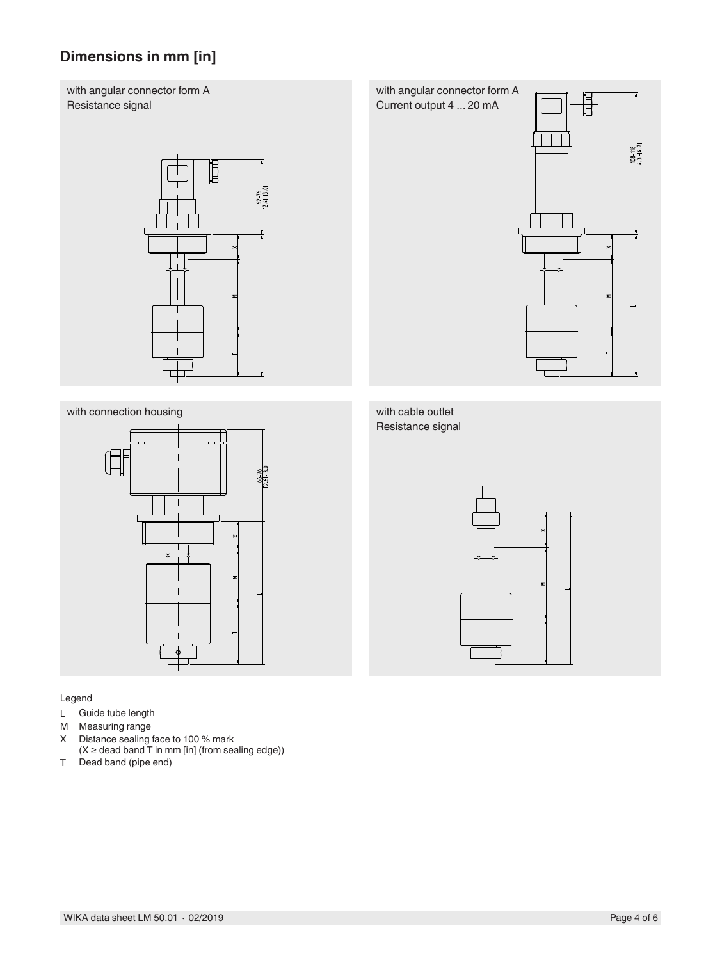# **Dimensions in mm [in]**

with angular connector form A Resistance signal



### with connection housing with cable outlet



#### Legend

- L Guide tube length<br>M Measuring range
- M Measuring range<br>X Distance sealing
- Distance sealing face to 100 % mark  $(X \geq 0)$  dead band T in mm [in] (from sealing edge))
- T Dead band (pipe end)

with angular connector form A Current output 4 ... 20 mA



# Resistance signal

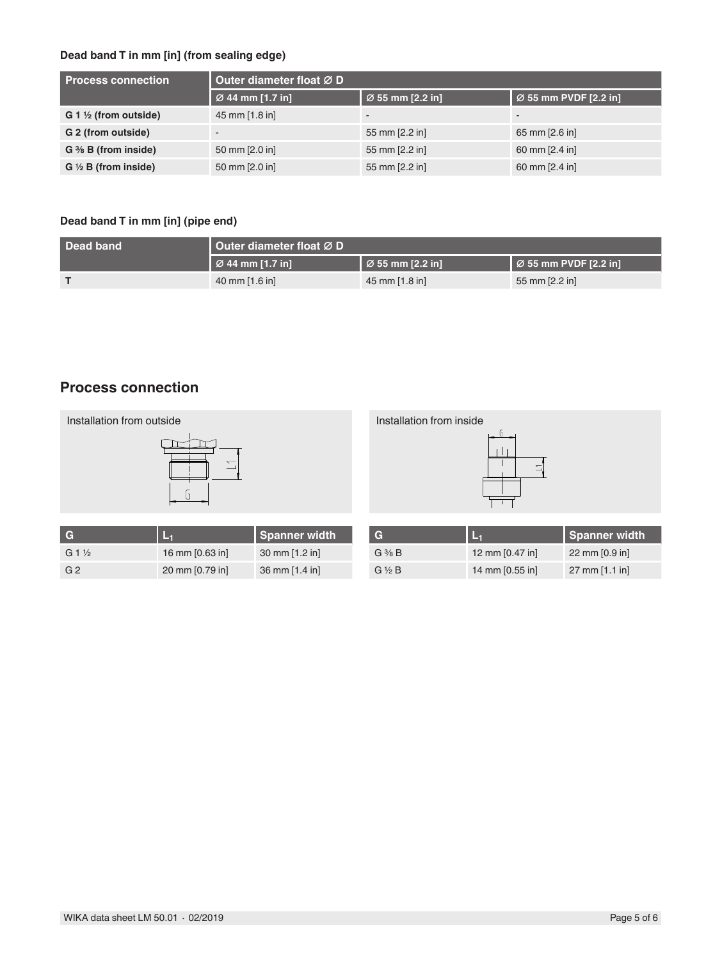## **Dead band T in mm [in] (from sealing edge)**

| <b>Process connection</b>              | Outer diameter float Ø D |                  |                          |
|----------------------------------------|--------------------------|------------------|--------------------------|
|                                        | Ø 44 mm [1.7 in]         | Ø 55 mm [2.2 in] | Ø 55 mm PVDF [2.2 in]    |
| $G_1 \nrightthreetimes$ (from outside) | 45 mm [1.8 in]           | $\sim$           | $\overline{\phantom{a}}$ |
| G 2 (from outside)                     | -                        | 55 mm [2.2 in]   | 65 mm [2.6 in]           |
| $G \frac{3}{8} B$ (from inside)        | 50 mm [2.0 in]           | 55 mm [2.2 in]   | 60 mm [2.4 in]           |
| $G \frac{1}{2} B$ (from inside)        | 50 mm [2.0 in]           | 55 mm [2.2 in]   | 60 mm [2.4 in]           |

## **Dead band T in mm [in] (pipe end)**

| Dead band | Outer diameter float ∅ D            |                                      |                                    |  |
|-----------|-------------------------------------|--------------------------------------|------------------------------------|--|
|           | $\overline{\otimes}$ 44 mm [1.7 in] | $\vert$ $\varnothing$ 55 mm [2.2 in] | $\overline{2}$ 55 mm PVDF [2.2 in] |  |
|           | 40 mm $[1.6$ in]                    | 45 mm [1.8 in]                       | 55 mm [2.2 in]                     |  |

## **Process connection**



| <b>C</b>        |                 | Spanner width  |
|-----------------|-----------------|----------------|
| $G1\frac{1}{2}$ | 16 mm [0.63 in] | 30 mm [1.2 in] |
| G 2             | 20 mm [0.79 in] | 36 mm [1.4 in] |

| G                 | L <sub>1</sub>  | Spanner width            |
|-------------------|-----------------|--------------------------|
| $G \frac{3}{8} B$ | 12 mm [0.47 in] | 22 mm $[0.9$ in          |
| $G \ntriangle B$  | 14 mm [0.55 in] | $27 \text{ mm}$ [1.1 in] |